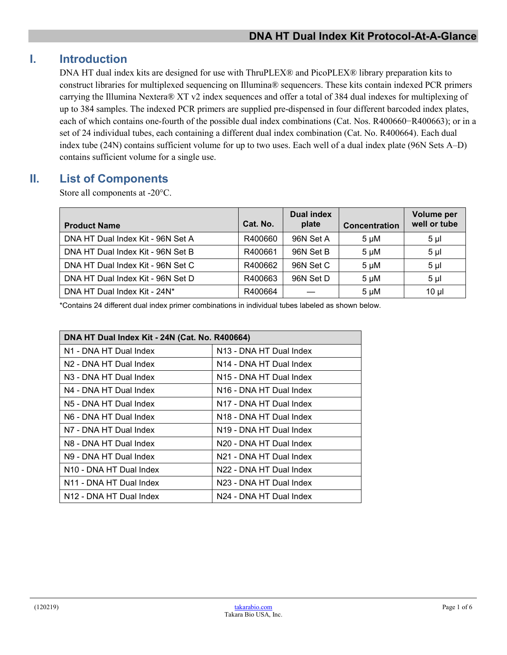# **I. Introduction**

DNA HT dual index kits are designed for use with ThruPLEX® and PicoPLEX® library preparation kits to construct libraries for multiplexed sequencing on Illumina® sequencers. These kits contain indexed PCR primers carrying the Illumina Nextera® XT v2 index sequences and offer a total of 384 dual indexes for multiplexing of up to 384 samples. The indexed PCR primers are supplied pre-dispensed in four different barcoded index plates, each of which contains one-fourth of the possible dual index combinations (Cat. Nos. R400660−R400663); or in a set of 24 individual tubes, each containing a different dual index combination (Cat. No. R400664). Each dual index tube (24N) contains sufficient volume for up to two uses. Each well of a dual index plate (96N Sets A–D) contains sufficient volume for a single use.

## **II. List of Components**

Store all components at -20°C.

| <b>Product Name</b>               | Cat. No. | Dual index<br>plate | <b>Concentration</b> | Volume per<br>well or tube |
|-----------------------------------|----------|---------------------|----------------------|----------------------------|
| DNA HT Dual Index Kit - 96N Set A | R400660  | 96N Set A           | $5 \mu M$            | 5 <sub>µ</sub>             |
| DNA HT Dual Index Kit - 96N Set B | R400661  | 96N Set B           | $5 \mu M$            | 5 <sub>µ</sub>             |
| DNA HT Dual Index Kit - 96N Set C | R400662  | 96N Set C           | $5 \mu M$            | 5 <sub>µl</sub>            |
| DNA HT Dual Index Kit - 96N Set D | R400663  | 96N Set D           | $5 \mu M$            | 5 <sub>µ</sub>             |
| DNA HT Dual Index Kit - 24N*      | R400664  |                     | $5 \mu M$            | $10 \mu$                   |

\*Contains 24 different dual index primer combinations in individual tubes labeled as shown below.

| DNA HT Dual Index Kit - 24N (Cat. No. R400664) |                                     |  |  |  |
|------------------------------------------------|-------------------------------------|--|--|--|
| N1 - DNA HT Dual Index                         | N13 - DNA HT Dual Index             |  |  |  |
| N <sub>2</sub> - DNA HT Dual Index             | N14 - DNA HT Dual Index             |  |  |  |
| N <sub>3</sub> - DNA HT Dual Index             | N <sub>15</sub> - DNA HT Dual Index |  |  |  |
| N4 - DNA HT Dual Index                         | N <sub>16</sub> - DNA HT Dual Index |  |  |  |
| N <sub>5</sub> - DNA HT Dual Index             | N17 - DNA HT Dual Index             |  |  |  |
| N6 - DNA HT Dual Index                         | N <sub>18</sub> - DNA HT Dual Index |  |  |  |
| N7 - DNA HT Dual Index                         | N19 - DNA HT Dual Index             |  |  |  |
| N8 - DNA HT Dual Index                         | N20 - DNA HT Dual Index             |  |  |  |
| N9 - DNA HT Dual Index                         | N21 - DNA HT Dual Index             |  |  |  |
| N <sub>10</sub> - DNA HT Dual Index            | N22 - DNA HT Dual Index             |  |  |  |
| N11 - DNA HT Dual Index                        | N23 - DNA HT Dual Index             |  |  |  |
| N <sub>12</sub> - DNA HT Dual Index            | N24 - DNA HT Dual Index             |  |  |  |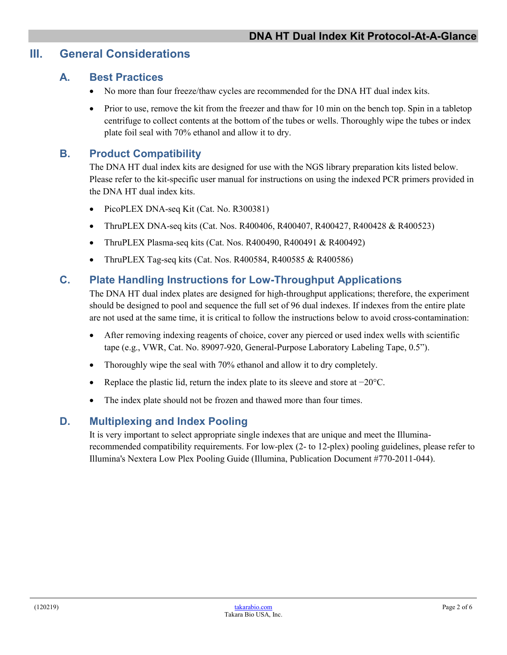## **III. General Considerations**

#### **A. Best Practices**

- No more than four freeze/thaw cycles are recommended for the DNA HT dual index kits.
- Prior to use, remove the kit from the freezer and thaw for 10 min on the bench top. Spin in a tabletop centrifuge to collect contents at the bottom of the tubes or wells. Thoroughly wipe the tubes or index plate foil seal with 70% ethanol and allow it to dry.

## **B. Product Compatibility**

The DNA HT dual index kits are designed for use with the NGS library preparation kits listed below. Please refer to the kit-specific user manual for instructions on using the indexed PCR primers provided in the DNA HT dual index kits.

- PicoPLEX DNA-seq Kit (Cat. No. R300381)
- ThruPLEX DNA-seq kits (Cat. Nos. R400406, R400407, R400427, R400428 & R400523)
- ThruPLEX Plasma-seq kits (Cat. Nos. R400490, R400491 & R400492)
- ThruPLEX Tag-seq kits (Cat. Nos. R400584, R400585 & R400586)

#### **C. Plate Handling Instructions for Low-Throughput Applications**

The DNA HT dual index plates are designed for high-throughput applications; therefore, the experiment should be designed to pool and sequence the full set of 96 dual indexes. If indexes from the entire plate are not used at the same time, it is critical to follow the instructions below to avoid cross-contamination:

- After removing indexing reagents of choice, cover any pierced or used index wells with scientific tape (e.g., VWR, Cat. No. 89097-920, General-Purpose Laboratory Labeling Tape, 0.5").
- Thoroughly wipe the seal with 70% ethanol and allow it to dry completely.
- Replace the plastic lid, return the index plate to its sleeve and store at −20°C.
- The index plate should not be frozen and thawed more than four times.

#### **D. Multiplexing and Index Pooling**

It is very important to select appropriate single indexes that are unique and meet the Illuminarecommended compatibility requirements. For low-plex (2- to 12-plex) pooling guidelines, please refer to Illumina's Nextera Low Plex Pooling Guide (Illumina, Publication Document #770-2011-044).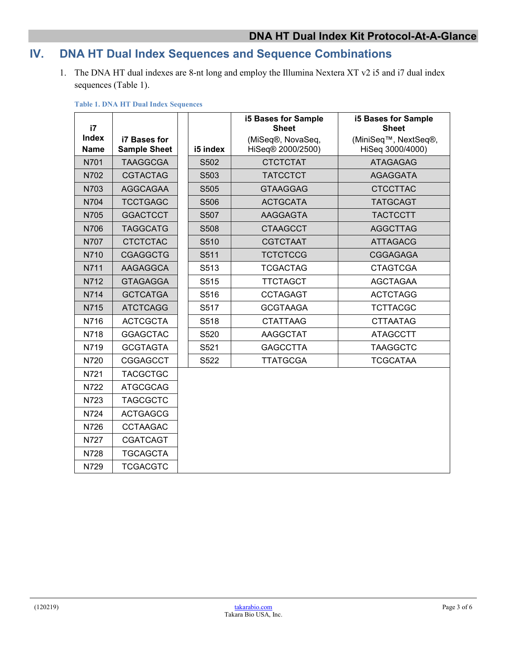# **IV. DNA HT Dual Index Sequences and Sequence Combinations**

1. The DNA HT dual indexes are 8-nt long and employ the Illumina Nextera XT v2 i5 and i7 dual index sequences (Table 1).

| i7                          |                                     |                  | <b>i5 Bases for Sample</b><br><b>Sheet</b> | <b>i5 Bases for Sample</b><br><b>Sheet</b>            |
|-----------------------------|-------------------------------------|------------------|--------------------------------------------|-------------------------------------------------------|
| <b>Index</b><br><b>Name</b> | i7 Bases for<br><b>Sample Sheet</b> | i5 index         | (MiSeq®, NovaSeq,<br>HiSeq® 2000/2500)     | (MiniSeq <sup>™</sup> , NextSeq®,<br>HiSeq 3000/4000) |
| N701                        | <b>TAAGGCGA</b>                     | S502             | <b>CTCTCTAT</b>                            | <b>ATAGAGAG</b>                                       |
| N702                        | <b>CGTACTAG</b>                     | S <sub>503</sub> | <b>TATCCTCT</b>                            | <b>AGAGGATA</b>                                       |
| N703                        | <b>AGGCAGAA</b>                     | S505             | <b>GTAAGGAG</b>                            | <b>CTCCTTAC</b>                                       |
| N704                        | <b>TCCTGAGC</b>                     | S506             | <b>ACTGCATA</b>                            | <b>TATGCAGT</b>                                       |
| N705                        | <b>GGACTCCT</b>                     | S507             | AAGGAGTA                                   | <b>TACTCCTT</b>                                       |
| N706                        | <b>TAGGCATG</b>                     | S508             | <b>CTAAGCCT</b>                            | <b>AGGCTTAG</b>                                       |
| N707                        | <b>CTCTCTAC</b>                     | S510             | <b>CGTCTAAT</b>                            | <b>ATTAGACG</b>                                       |
| N710                        | <b>CGAGGCTG</b>                     | S511             | <b>TCTCTCCG</b>                            | <b>CGGAGAGA</b>                                       |
| N711                        | <b>AAGAGGCA</b>                     | S513             | <b>TCGACTAG</b>                            | <b>CTAGTCGA</b>                                       |
| N712                        | <b>GTAGAGGA</b>                     | S515             | <b>TTCTAGCT</b>                            | <b>AGCTAGAA</b>                                       |
| N714                        | <b>GCTCATGA</b>                     | S516             | <b>CCTAGAGT</b>                            | <b>ACTCTAGG</b>                                       |
| N715                        | <b>ATCTCAGG</b>                     | S517             | <b>GCGTAAGA</b>                            | <b>TCTTACGC</b>                                       |
| N716                        | <b>ACTCGCTA</b>                     | S518             | <b>CTATTAAG</b>                            | <b>CTTAATAG</b>                                       |
| N718                        | <b>GGAGCTAC</b>                     | S520             | <b>AAGGCTAT</b>                            | <b>ATAGCCTT</b>                                       |
| N719                        | <b>GCGTAGTA</b>                     | S521             | <b>GAGCCTTA</b>                            | <b>TAAGGCTC</b>                                       |
| N720                        | <b>CGGAGCCT</b>                     | S522             | <b>TTATGCGA</b>                            | <b>TCGCATAA</b>                                       |
| N721                        | <b>TACGCTGC</b>                     |                  |                                            |                                                       |
| N722                        | <b>ATGCGCAG</b>                     |                  |                                            |                                                       |
| N723                        | <b>TAGCGCTC</b>                     |                  |                                            |                                                       |
| N724                        | <b>ACTGAGCG</b>                     |                  |                                            |                                                       |
| N726                        | <b>CCTAAGAC</b>                     |                  |                                            |                                                       |
| N727                        | <b>CGATCAGT</b>                     |                  |                                            |                                                       |
| N728                        | TGCAGCTA                            |                  |                                            |                                                       |
| N729                        | <b>TCGACGTC</b>                     |                  |                                            |                                                       |

**Table 1. DNA HT Dual Index Sequences**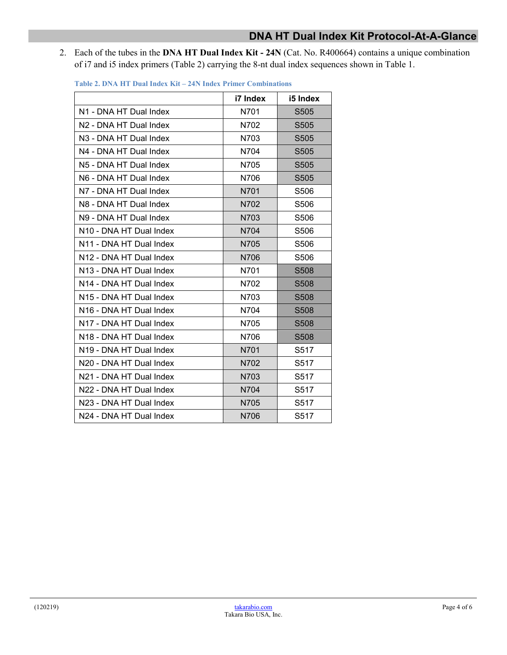2. Each of the tubes in the **DNA HT Dual Index Kit - 24N** (Cat. No. R400664) contains a unique combination of i7 and i5 index primers (Table 2) carrying the 8-nt dual index sequences shown in Table 1.

|                                     | i7 Index | i5 Index         |
|-------------------------------------|----------|------------------|
| N1 - DNA HT Dual Index              | N701     | S505             |
| N2 - DNA HT Dual Index              | N702     | S <sub>505</sub> |
| N3 - DNA HT Dual Index              | N703     | S <sub>505</sub> |
| N4 - DNA HT Dual Index              | N704     | S505             |
| N5 - DNA HT Dual Index              | N705     | S <sub>505</sub> |
| N6 - DNA HT Dual Index              | N706     | S505             |
| N7 - DNA HT Dual Index              | N701     | S506             |
| N8 - DNA HT Dual Index              | N702     | S <sub>506</sub> |
| N9 - DNA HT Dual Index              | N703     | S506             |
| N10 - DNA HT Dual Index             | N704     | S506             |
| N11 - DNA HT Dual Index             | N705     | S506             |
| N12 - DNA HT Dual Index             | N706     | S506             |
| N13 - DNA HT Dual Index             | N701     | S508             |
| N14 - DNA HT Dual Index             | N702     | S <sub>508</sub> |
| N15 - DNA HT Dual Index             | N703     | S <sub>508</sub> |
| N <sub>16</sub> - DNA HT Dual Index | N704     | S <sub>508</sub> |
| N17 - DNA HT Dual Index             | N705     | S <sub>508</sub> |
| N <sub>18</sub> - DNA HT Dual Index | N706     | S508             |
| N <sub>19</sub> - DNA HT Dual Index | N701     | S517             |
| N20 - DNA HT Dual Index             | N702     | S517             |
| N21 - DNA HT Dual Index             | N703     | S517             |
| N22 - DNA HT Dual Index             | N704     | S517             |
| N23 - DNA HT Dual Index             | N705     | S517             |
| N24 - DNA HT Dual Index             | N706     | S517             |

**Table 2. DNA HT Dual Index Kit – 24N Index Primer Combinations**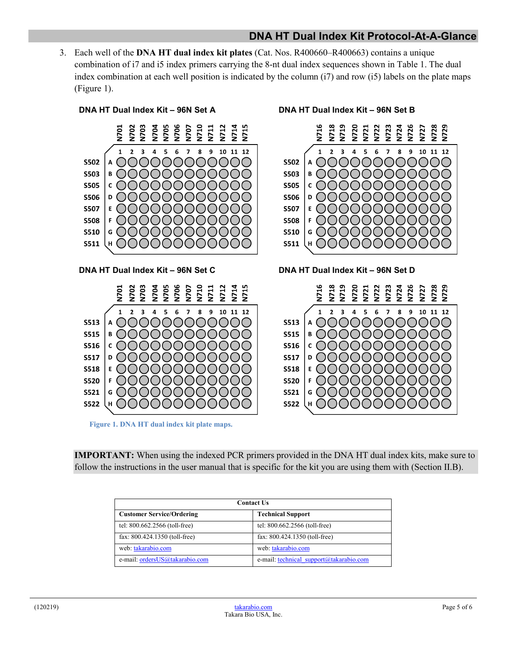#### **DNA HT Dual Index Kit Protocol-At-A-Glance**

3. Each well of the **DNA HT dual index kit plates** (Cat. Nos. R400660–R400663) contains a unique combination of i7 and i5 index primers carrying the 8-nt dual index sequences shown in Table 1. The dual index combination at each well position is indicated by the column (i7) and row (i5) labels on the plate maps (Figure 1).



**IMPORTANT:** When using the indexed PCR primers provided in the DNA HT dual index kits, make sure to follow the instructions in the user manual that is specific for the kit you are using them with (Section II.B).

| <b>Contact Us</b>                |                                         |  |  |  |
|----------------------------------|-----------------------------------------|--|--|--|
| <b>Customer Service/Ordering</b> | <b>Technical Support</b>                |  |  |  |
| tel: 800.662.2566 (toll-free)    | tel: 800.662.2566 (toll-free)           |  |  |  |
| fax: 800.424.1350 (toll-free)    | fax: 800.424.1350 (toll-free)           |  |  |  |
| web: takarabio.com               | web: takarabio.com                      |  |  |  |
| e-mail: ordersUS@takarabio.com   | e-mail: technical support@takarabio.com |  |  |  |